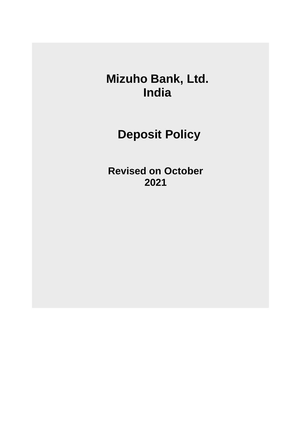**Mizuho Bank, Ltd. India**

**Deposit Policy**

**Revised on October 2021**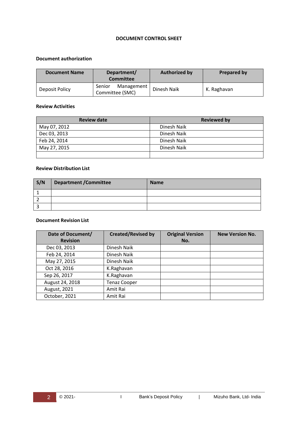#### **DOCUMENT CONTROL SHEET**

#### **Document authorization**

| <b>Document Name</b> | Department/<br><b>Committee</b>         | <b>Authorized by</b> | <b>Prepared by</b> |
|----------------------|-----------------------------------------|----------------------|--------------------|
| Deposit Policy       | Senior<br>Management<br>Committee (SMC) | Dinesh Naik          | K. Raghavan        |

#### **Review Activities**

| <b>Review date</b> | <b>Reviewed by</b> |
|--------------------|--------------------|
| May 07, 2012       | Dinesh Naik        |
| Dec 03, 2013       | Dinesh Naik        |
| Feb 24, 2014       | Dinesh Naik        |
| May 27, 2015       | Dinesh Naik        |
|                    |                    |

#### **Review Distribution List**

| S/N | <b>Department / Committee</b> | <b>Name</b> |
|-----|-------------------------------|-------------|
|     |                               |             |
|     |                               |             |
|     |                               |             |

#### **Document Revision List**

| Date of Document/ | <b>Created/Revised by</b> | <b>Original Version</b> | <b>New Version No.</b> |
|-------------------|---------------------------|-------------------------|------------------------|
| <b>Revision</b>   |                           | No.                     |                        |
| Dec 03, 2013      | Dinesh Naik               |                         |                        |
| Feb 24, 2014      | Dinesh Naik               |                         |                        |
| May 27, 2015      | Dinesh Naik               |                         |                        |
| Oct 28, 2016      | K.Raghavan                |                         |                        |
| Sep 26, 2017      | K.Raghavan                |                         |                        |
| August 24, 2018   | <b>Tenaz Cooper</b>       |                         |                        |
| August, 2021      | Amit Rai                  |                         |                        |
| October, 2021     | Amit Rai                  |                         |                        |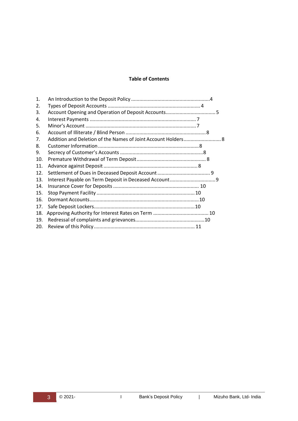#### **Table of Contents**

| 1.  |  |  |
|-----|--|--|
| 2.  |  |  |
| 3.  |  |  |
| 4.  |  |  |
| 5.  |  |  |
| 6.  |  |  |
| 7.  |  |  |
| 8.  |  |  |
| 9.  |  |  |
| 10. |  |  |
| 11. |  |  |
| 12. |  |  |
| 13. |  |  |
| 14. |  |  |
| 15. |  |  |
| 16. |  |  |
| 17. |  |  |
| 18. |  |  |
| 19. |  |  |
| 20. |  |  |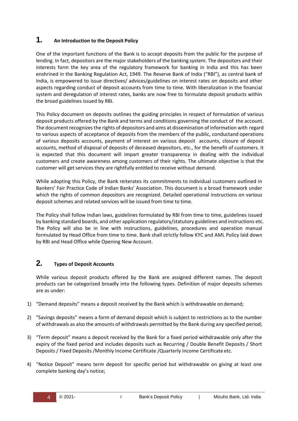### <span id="page-3-0"></span>**1. An Introduction to the Deposit Policy**

One of the important functions of the Bank is to accept deposits from the public for the purpose of lending. In fact, depositors are the major stakeholders of the banking system. The depositors and their interests form the key area of the regulatory framework for banking in India and this has been enshrined in the Banking Regulation Act, 1949. The Reserve Bank of India ("RBI"), as central bank of India, is empowered to issue directives/ advices/guidelines on interest rates on deposits and other aspects regarding conduct of deposit accounts from time to time. With liberalization in the financial system and deregulation of interest rates, banks are now free to formulate deposit products within the broad guidelines issued by RBI.

This Policy document on deposits outlines the guiding principles in respect of formulation of various deposit products offered by the Bank and terms and conditions governing the conduct of the account. The document recognizes the rights of depositors and aims at dissemination of information with regard to various aspects of acceptance of deposits from the members of the public, conductand operations of various deposits accounts, payment of interest on various deposit accounts, closure of deposit accounts, method of disposal of deposits of deceased depositors, etc., for the benefit of customers. It is expected that this document will impart greater transparency in dealing with the individual customers and create awareness among customers of their rights. The ultimate objective is that the customer will get services they are rightfully entitled to receive without demand.

While adopting this Policy, the Bank reiterates its commitments to individual customers outlined in Bankers' Fair Practice Code of Indian Banks' Association. This document is a broad framework under which the rights of common depositors are recognized. Detailed operational instructions on various deposit schemes and related services will be issued from time to time.

The Policy shall follow Indian laws, guidelines formulated by RBI from time to time, guidelines issued by banking standard boards, and other application regulatory/statutory guidelines and instructions etc. The Policy will also be in line with instructions, guidelines, procedures and operation manual formulated by Head Office from time to time. Bank shall strictly follow KYC and AML Policy laid down by RBI and Head Office while Opening New Account.

# <span id="page-3-1"></span>**2. Types of Deposit Accounts**

While various deposit products offered by the Bank are assigned different names. The deposit products can be categorized broadly into the following types. Definition of major deposits schemes are as under:

- 1) "Demand deposits" means a deposit received by the Bank which is withdrawable ondemand;
- 2) "Savings deposits" means a form of demand deposit which is subject to restrictions as to the number of withdrawals as also the amounts of withdrawals permitted by the Bank during any specified period;
- 3) "Term deposit" means a deposit received by the Bank for a fixed period withdrawable only after the expiry of the fixed period and includes deposits such as Recurring / Double Benefit Deposits / Short Deposits / Fixed Deposits /Monthly Income Certificate /Quarterly Income Certificate etc.
- 4) "Notice Deposit" means term deposit for specific period but withdrawable on giving at least one complete banking day's notice;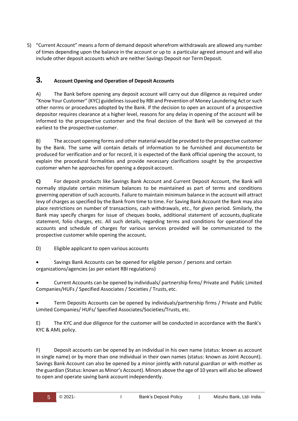5) "Current Account" means a form of demand deposit wherefrom withdrawals are allowed any number of times depending upon the balance in the account or up to a particular agreed amount and will also include other deposit accounts which are neither Savings Deposit nor TermDeposit.

### <span id="page-4-0"></span>**3. Account Opening and Operation of Deposit Accounts**

A) The Bank before opening any deposit account will carry out due diligence as required under "Know Your Customer" (KYC) guidelines issued by RBI and Prevention of Money Laundering Act orsuch other norms or procedures adopted by the Bank. If the decision to open an account of a prospective depositor requires clearance at a higher level, reasons for any delay in opening of the account will be informed to the prospective customer and the final decision of the Bank will be conveyed at the earliest to the prospective customer.

B) The account opening forms and other material would be provided to the prospective customer by the Bank. The same will contain details of information to be furnished and documentsto be produced for verification and or for record, it is expected of the Bank official opening the account, to explain the procedural formalities and provide necessary clarifications sought by the prospective customer when he approaches for opening a deposit account.

**C)** For deposit products like Savings Bank Account and Current Deposit Account, the Bank will normally stipulate certain minimum balances to be maintained as part of terms and conditions governing operation of such accounts. Failure to maintain minimum balance in the account will attract levy of charges as specified by the Bank from time to time. For Saving Bank Account the Bank may also place restrictions on number of transactions, cash withdrawals, etc., for given period. Similarly, the Bank may specify charges for issue of cheques books, additional statement of accounts,duplicate statement, folio charges, etc. All such details, regarding terms and conditions for operationof the accounts and schedule of charges for various services provided will be communicated to the prospective customer while opening the account**.**

- D) Eligible applicant to open various accounts
- Savings Bank Accounts can be opened for eligible person / persons and certain organizations/agencies (as per extant RBI regulations)

 Current Accounts can be opened by individuals/ partnership firms/ Private and Public Limited Companies/HUFs / Specified Associates / Societies / Trusts, etc.

 Term Deposits Accounts can be opened by individuals/partnership firms / Private and Public Limited Companies/ HUFs/ Specified Associates/Societies/Trusts, etc.

E) The KYC and due diligence for the customer will be conducted in accordance with the Bank's KYC & AML policy.

F) Deposit accounts can be opened by an individual in his own name (status: known as account in single name) or by more than one individual in their own names (status: known as Joint Account). Savings Bank Account can also be opened by a minor jointly with natural guardian or with mother as the guardian (Status: known as Minor's Account). Minors above the age of 10 years will also be allowed to open and operate saving bank account independently.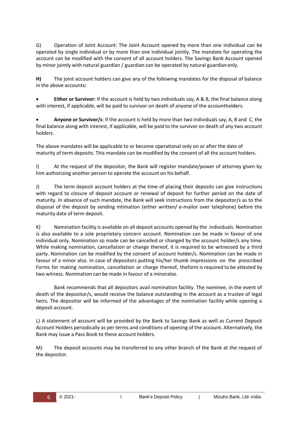G) Operation of Joint Account: The Joint Account opened by more than one individual can be operated by single individual or by more than one individual jointly. The mandate for operating the account can be modified with the consent of all account holders. The Savings Bank Account opened by minor jointly with natural guardian / guardian can be operated by natural guardianonly.

**H)** The joint account holders can give any of the following mandates for the disposal of balance in the above accounts**:**

 **Either or Survivor:** If the account is held by two individuals say, A & B, the final balance along with interest, if applicable, will be paid to survivor on death of anyone of the accountholders.

 **Anyone or Survivor/s**: If the account is held by more than two individuals say, A, B and C, the final balance along with interest, if applicable, will be paid to the survivor on death of any two account holders.

The above mandates will be applicable to or become operational only on or after the date of maturity of term deposits. This mandate can be modified by the consent of all the account holders.

I) At the request of the depositor, the Bank will register mandate/power of attorney given by him authorizing another person to operate the account on his behalf.

J) The term deposit account holders at the time of placing their deposits can give instructions with regard to closure of deposit account or renewal of deposit for further period on the date of maturity. In absence of such mandate, the Bank will seek instructions from the depositor/s as to the disposal of the deposit by sending intimation (either written/ e-mailor over telephone) before the maturity date of term deposit.

K) Nomination facility is available on all deposit accounts opened by the individuals. Nomination is also available to a sole proprietary concern account. Nomination can be made in favour of one individual only. Nomination so made can be cancelled or changed by the account holder/s any time. While making nomination, cancellation or change thereof, it is required to be witnessed by a third party. Nomination can be modified by the consent of account holder/s. Nomination can be made in favour of a minor also. In case of depositors putting his/her thumb impressions on the prescribed Forms for making nomination, cancellation or charge thereof, theform is required to be attested by two witness. Nomination can be made in favour of a minoralso.

Bank recommends that all depositors avail nomination facility. The nominee, in the event of death of the depositor/s, would receive the balance outstanding in the account as a trustee of legal heirs. The depositor will be informed of the advantages of the nomination facility while opening a deposit account.

L) A statement of account will be provided by the Bank to Savings Bank as well as Current Deposit Account Holders periodically as per terms and conditions of opening of the account. Alternatively, the Bank may issue a Pass Book to these account holders.

M) The deposit accounts may be transferred to any other branch of the Bank at the request of the depositor.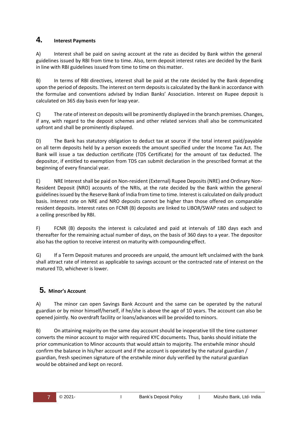# <span id="page-6-0"></span>**4. Interest Payments**

A) Interest shall be paid on saving account at the rate as decided by Bank within the general guidelines issued by RBI from time to time. Also, term deposit interest rates are decided by the Bank in line with RBI guidelines issued from time to time on this matter.

B) In terms of RBI directives, interest shall be paid at the rate decided by the Bank depending upon the period of deposits. The interest on term deposits is calculated by the Bank in accordance with the formulae and conventions advised by Indian Banks' Association. Interest on Rupee deposit is calculated on 365 day basis even for leap year.

C) The rate of interest on deposits will be prominently displayed in the branch premises. Changes, if any, with regard to the deposit schemes and other related services shall also be communicated upfront and shall be prominently displayed.

D) The Bank has statutory obligation to deduct tax at source if the total interest paid/payable on all term deposits held by a person exceeds the amount specified under the Income Tax Act. The Bank will issue a tax deduction certificate (TDS Certificate) for the amount of tax deducted. The depositor, if entitled to exemption from TDS can submit declaration in the prescribed format at the beginning of every financial year.

E) NRE Interest shall be paid on Non-resident (External) Rupee Deposits (NRE) and Ordinary Non-Resident Deposit (NRO) accounts of the NRIs, at the rate decided by the Bank within the general guidelines issued by the Reserve Bank of India from time to time. Interest is calculated on daily product basis. Interest rate on NRE and NRO deposits cannot be higher than those offered on comparable resident deposits. Interest rates on FCNR (B) deposits are linked to LIBOR/SWAP rates and subject to a ceiling prescribed by RBI.

F) FCNR (B) deposits the interest is calculated and paid at intervals of 180 days each and thereafter for the remaining actual number of days, on the basis of 360 days to a year. The depositor also has the option to receive interest on maturity with compounding effect.

G) If a Term Deposit matures and proceeds are unpaid, the amount left unclaimed with the bank shall attract rate of interest as applicable to savings account or the contracted rate of interest on the matured TD, whichever is lower.

# <span id="page-6-1"></span>**5. Minor's Account**

A) The minor can open Savings Bank Account and the same can be operated by the natural guardian or by minor himself/herself, if he/she is above the age of 10 years. The account can also be opened jointly. No overdraft facility or loans/advances will be provided tominors.

B) On attaining majority on the same day account should be inoperative till the time customer converts the minor account to major with required KYC documents. Thus, banks should initiate the prior communication to Minor accounts that would attain to majority. The erstwhile minor should confirm the balance in his/her account and if the account is operated by the natural guardian / guardian, fresh specimen signature of the erstwhile minor duly verified by the natural guardian would be obtained and kept on record.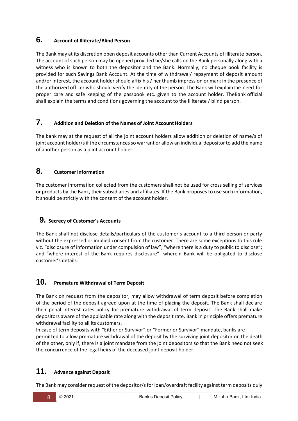# <span id="page-7-0"></span>**6. Account of Illiterate/Blind Person**

The Bank may at its discretion open deposit accounts other than Current Accounts of illiterate person. The account of such person may be opened provided he/she calls on the Bank personally along with a witness who is known to both the depositor and the Bank. Normally, no cheque book facility is provided for such Savings Bank Account. At the time of withdrawal/ repayment of deposit amount and/or interest, the account holder should affix his / her thumb impression or mark in the presence of the authorized officer who should verify the identity of the person. The Bank will explainthe need for proper care and safe keeping of the passbook etc. given to the account holder. TheBank official shall explain the terms and conditions governing the account to the illiterate / blind person.

# <span id="page-7-1"></span>**7. Addition and Deletion of the Names of Joint AccountHolders**

The bank may at the request of all the joint account holders allow addition or deletion of name/s of joint account holder/s if the circumstances so warrant or allow an individual depositor to add the name of another person as a joint account holder.

# <span id="page-7-2"></span>**8. Customer Information**

The customer information collected from the customers shall not be used for cross selling of services or products by the Bank, their subsidiaries and affiliates. If the Bank proposes to use such information, it should be strictly with the consent of the account holder.

# <span id="page-7-3"></span>**9. Secrecy of Customer's Accounts**

The Bank shall not disclose details/particulars of the customer's account to a third person or party without the expressed or implied consent from the customer. There are some exceptions to this rule viz. "disclosure of information under compulsion of law"; "where there is a duty to public to disclose"; and "where interest of the Bank requires disclosure"- wherein Bank will be obligated to disclose customer's details.

# <span id="page-7-4"></span>**10. Premature Withdrawal of Term Deposit**

The Bank on request from the depositor, may allow withdrawal of term deposit before completion of the period of the deposit agreed upon at the time of placing the deposit. The Bank shall declare their penal interest rates policy for premature withdrawal of term deposit. The Bank shall make depositors aware of the applicable rate along with the deposit rate. Bank in principle offers premature withdrawal facility to all its customers.

In case of term deposits with "Either or Survivor" or "Former or Survivor" mandate, banks are permitted to allow premature withdrawal of the deposit by the surviving joint depositor on the death of the other, only if, there is a joint mandate from the joint depositors so that the Bank need not seek the concurrence of the legal heirs of the deceased joint deposit holder.

# <span id="page-7-5"></span>**11. Advance against Deposit**

The Bank may consider request of the depositor/s for loan/overdraft facility against term deposits duly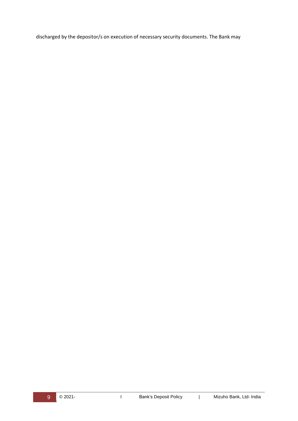discharged by the depositor/s on execution of necessary security documents. The Bank may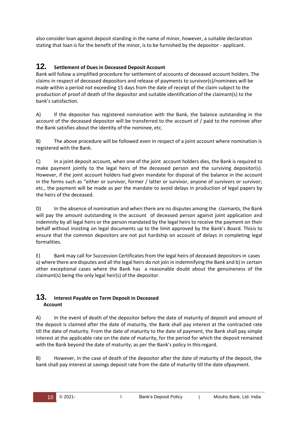also consider loan against deposit standing in the name of minor, however, a suitable declaration stating that loan is for the benefit of the minor, is to be furnished by the depositor - applicant.

### <span id="page-9-0"></span>**12. Settlement of Dues in Deceased Deposit Account**

Bank will follow a simplified procedure for settlement of accounts of deceased account holders. The claims in respect of deceased depositors and release of payments to survivor(s)/nominees will be made within a period not exceeding 15 days from the date of receipt of the claim subject to the production of proof of death of the depositor and suitable identification of the claimant(s) to the bank's satisfaction.

A) If the depositor has registered nomination with the Bank, the balance outstanding in the account of the deceased depositor will be transferred to the account of / paid to the nominee after the Bank satisfies about the identity of the nominee, etc.

B) The above procedure will be followed even in respect of a joint account where nomination is registered with the Bank.

C) In a joint deposit account, when one of the joint account holders dies, the Bank is required to make payment jointly to the legal heirs of the deceased person and the surviving depositor(s). However, if the joint account holders had given mandate for disposal of the balance in the account in the forms such as "either or survivor, former / latter or survivor, anyone of survivors or survivor; etc., the payment will be made as per the mandate to avoid delays in production of legal papers by the heirs of the deceased.

D) In the absence of nomination and when there are no disputes among the claimants, the Bank will pay the amount outstanding in the account of deceased person against joint application and indemnity by all legal heirs or the person mandated by the legal heirs to receive the payment on their behalf without insisting on legal documents up to the limit approved by the Bank's Board. Thisis to ensure that the common depositors are not put hardship on account of delays in completing legal formalities.

E) Bank may call for Succession Certificates from the legal heirs of deceased depositors in cases a) where there are disputes and all the legal heirs do not join in indemnifying the Bank and b) in certain other exceptional cases where the Bank has a reasonable doubt about the genuineness of the claimant(s) being the only legal heir(s) of the depositor.

### <span id="page-9-1"></span>**13. Interest Payable on Term Deposit in Deceased Account**

A) In the event of death of the depositor before the date of maturity of deposit and amount of the deposit is claimed after the date of maturity, the Bank shall pay interest at the contracted rate till the date of maturity. From the date of maturity to the date of payment, the Bank shall pay simple interest at the applicable rate on the date of maturity, for the period for which the deposit remained with the Bank beyond the date of maturity; as per the Bank's policy in thisregard.

B) However, in the case of death of the depositor after the date of maturity of the deposit, the bank shall pay interest at savings deposit rate from the date of maturity till the date ofpayment.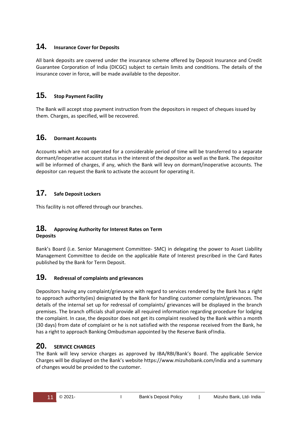# <span id="page-10-0"></span>**14. Insurance Cover for Deposits**

All bank deposits are covered under the insurance scheme offered by Deposit Insurance and Credit Guarantee Corporation of India (DICGC) subject to certain limits and conditions. The details of the insurance cover in force, will be made available to the depositor.

# <span id="page-10-1"></span>**15. Stop Payment Facility**

The Bank will accept stop payment instruction from the depositors in respect of cheques issued by them. Charges, as specified, will be recovered.

# <span id="page-10-2"></span>**16. Dormant Accounts**

Accounts which are not operated for a considerable period of time will be transferred to a separate dormant/inoperative account status in the interest of the depositor as well as the Bank. The depositor will be informed of charges, if any, which the Bank will levy on dormant/inoperative accounts. The depositor can request the Bank to activate the account for operating it.

# <span id="page-10-3"></span>**17. Safe Deposit Lockers**

This facility is not offered through our branches.

### <span id="page-10-4"></span>**18. Approving Authority for Interest Rates on Term Deposits**

Bank's Board (i.e. Senior Management Committee- SMC) in delegating the power to Asset Liability Management Committee to decide on the applicable Rate of Interest prescribed in the Card Rates published by the Bank for Term Deposit.

# **19. Redressal of complaints and grievances**

Depositors having any complaint/grievance with regard to services rendered by the Bank has a right to approach authority(ies) designated by the Bank for handling customer complaint/grievances. The details of the internal set up for redressal of complaints/ grievances will be displayed in the branch premises. The branch officials shall provide all required information regarding procedure for lodging the complaint. In case, the depositor does not get its complaint resolved by the Bank within a month (30 days) from date of complaint or he is not satisfied with the response received from the Bank, he has a right to approach Banking Ombudsman appointed by the Reserve Bank ofIndia.

# **20. SERVICE CHARGES**

The Bank will levy service charges as approved by IBA/RBI/Bank's Board. The applicable Service Charges will be displayed on the Bank's website https://[www.mizuhobank.com/india a](http://www.mizuhobank.com/india)nd a summary of changes would be provided to the customer.